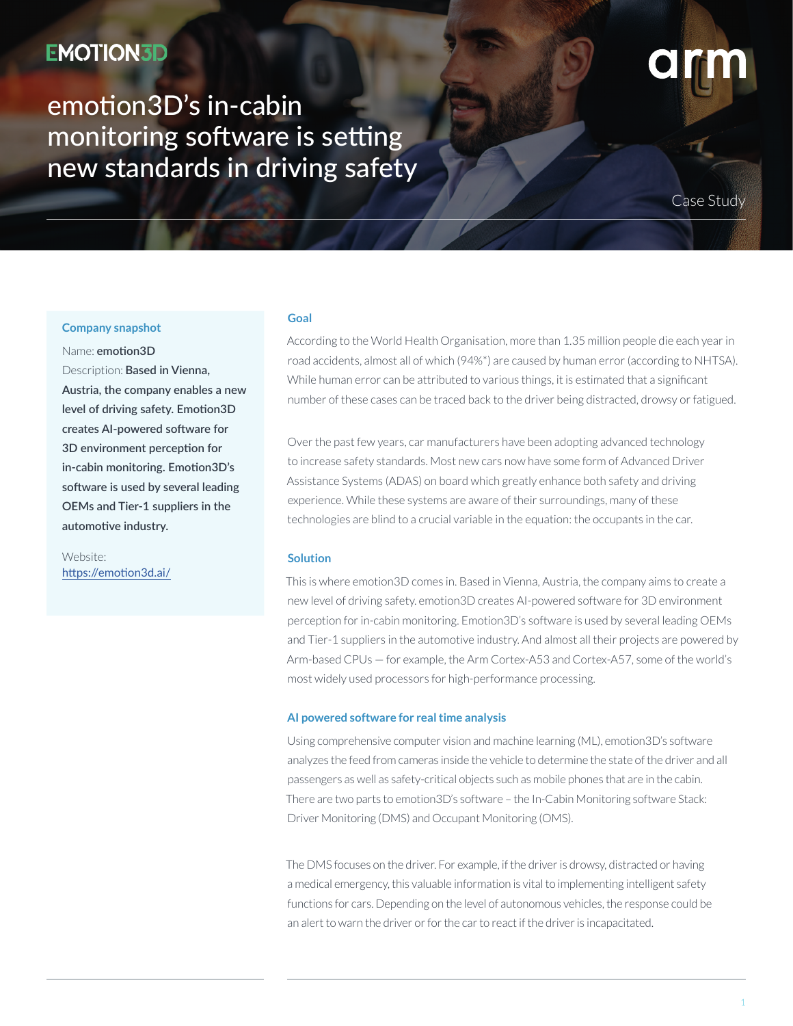## **EMOTION3D**

# emotion3D's in-cabin monitoring software is setting new standards in driving safety

Case Study

#### **Company snapshot**

Name: **emotion3D** Description: **Based in Vienna, Austria, the company enables a new level of driving safety. Emotion3D creates AI-powered software for 3D environment perception for in-cabin monitoring. Emotion3D's software is used by several leading OEMs and Tier-1 suppliers in the automotive industry.** 

Website: <https://emotion3d.ai/>

#### **Goal**

According to the World Health Organisation, more than 1.35 million people die each year in road accidents, almost all of which (94%\*) are caused by human error (according to NHTSA). While human error can be attributed to various things, it is estimated that a significant number of these cases can be traced back to the driver being distracted, drowsy or fatigued.

Over the past few years, car manufacturers have been adopting advanced technology to increase safety standards. Most new cars now have some form of Advanced Driver Assistance Systems (ADAS) on board which greatly enhance both safety and driving experience. While these systems are aware of their surroundings, many of these technologies are blind to a crucial variable in the equation: the occupants in the car.

### **Solution**

This is where emotion3D comes in. Based in Vienna, Austria, the company aims to create a new level of driving safety. emotion3D creates AI-powered software for 3D environment perception for in-cabin monitoring. Emotion3D's software is used by several leading OEMs and Tier-1 suppliers in the automotive industry. And almost all their projects are powered by Arm-based CPUs — for example, the Arm Cortex-A53 and Cortex-A57, some of the world's most widely used processors for high-performance processing.

#### **AI powered software for real time analysis**

Using comprehensive computer vision and machine learning (ML), emotion3D's software analyzes the feed from cameras inside the vehicle to determine the state of the driver and all passengers as well as safety-critical objects such as mobile phones that are in the cabin. There are two parts to emotion3D's software – the In-Cabin Monitoring software Stack: Driver Monitoring (DMS) and Occupant Monitoring (OMS).

The DMS focuses on the driver. For example, if the driver is drowsy, distracted or having a medical emergency, this valuable information is vital to implementing intelligent safety functions for cars. Depending on the level of autonomous vehicles, the response could be an alert to warn the driver or for the car to react if the driver is incapacitated.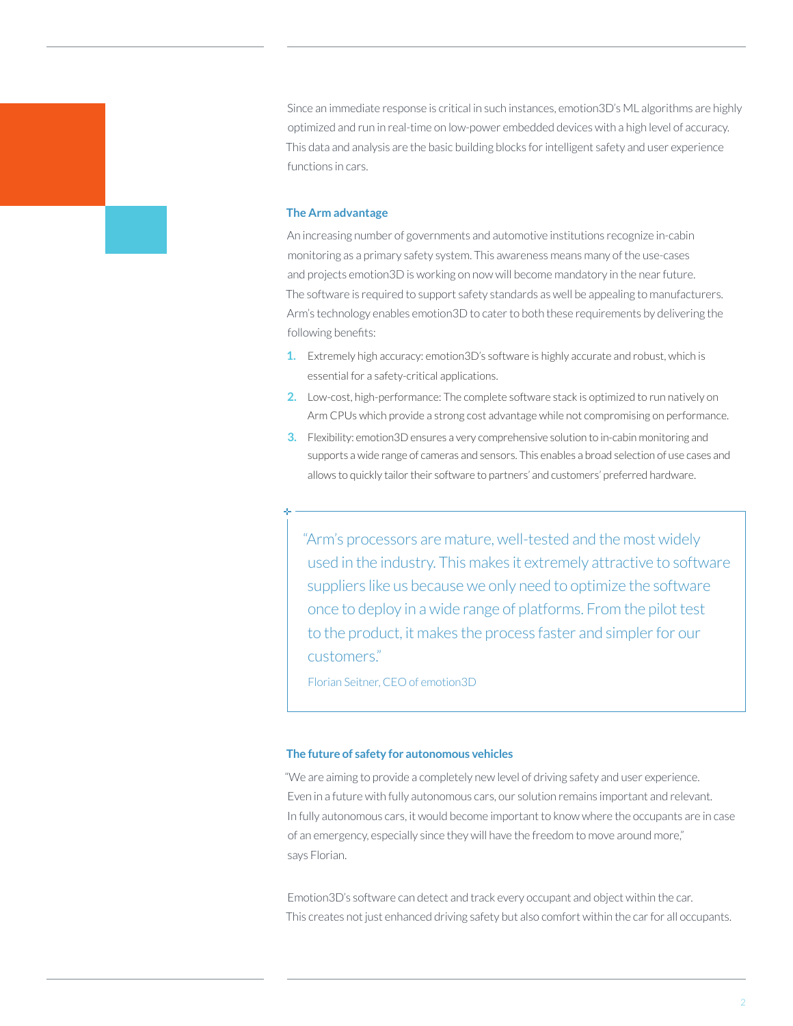Since an immediate response is critical in such instances, emotion3D's ML algorithms are highly optimized and run in real-time on low-power embedded devices with a high level of accuracy. This data and analysis are the basic building blocks for intelligent safety and user experience functions in cars.

#### **The Arm advantage**

An increasing number of governments and automotive institutions recognize in-cabin monitoring as a primary safety system. This awareness means many of the use-cases and projects emotion3D is working on now will become mandatory in the near future. The software is required to support safety standards as well be appealing to manufacturers. Arm's technology enables emotion3D to cater to both these requirements by delivering the following benefits:

- **1.** Extremely high accuracy: emotion3D's software is highly accurate and robust, which is essential for a safety-critical applications.
- **2.** Low-cost, high-performance: The complete software stack is optimized to run natively on Arm CPUs which provide a strong cost advantage while not compromising on performance.
- **3.** Flexibility: emotion3D ensures a very comprehensive solution to in-cabin monitoring and supports a wide range of cameras and sensors. This enables a broad selection of use cases and allows to quickly tailor their software to partners' and customers' preferred hardware.

"Arm's processors are mature, well-tested and the most widely used in the industry. This makes it extremely attractive to software suppliers like us because we only need to optimize the software once to deploy in a wide range of platforms. From the pilot test to the product, it makes the process faster and simpler for our customers."

Florian Seitner, CEO of emotion3D

#### **The future of safety for autonomous vehicles**

"We are aiming to provide a completely new level of driving safety and user experience. Even in a future with fully autonomous cars, our solution remains important and relevant. In fully autonomous cars, it would become important to know where the occupants are in case of an emergency, especially since they will have the freedom to move around more," says Florian.

Emotion3D's software can detect and track every occupant and object within the car. This creates not just enhanced driving safety but also comfort within the car for all occupants.